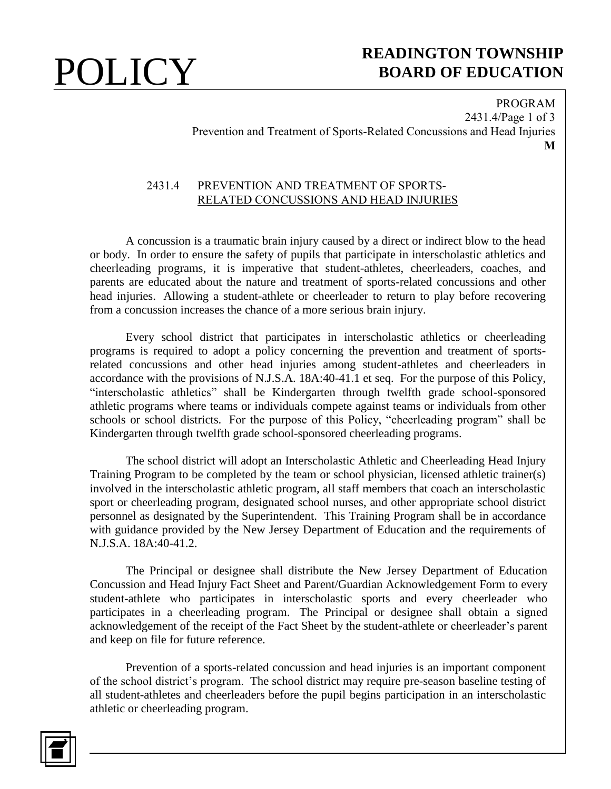## **POLICY** READINGTON TOWNSHIP **BOARD OF EDUCATION**

PROGRAM 2431.4/Page 1 of 3 Prevention and Treatment of Sports-Related Concussions and Head Injuries **M**

### 2431.4 PREVENTION AND TREATMENT OF SPORTS-RELATED CONCUSSIONS AND HEAD INJURIES

A concussion is a traumatic brain injury caused by a direct or indirect blow to the head or body. In order to ensure the safety of pupils that participate in interscholastic athletics and cheerleading programs, it is imperative that student-athletes, cheerleaders, coaches, and parents are educated about the nature and treatment of sports-related concussions and other head injuries. Allowing a student-athlete or cheerleader to return to play before recovering from a concussion increases the chance of a more serious brain injury.

Every school district that participates in interscholastic athletics or cheerleading programs is required to adopt a policy concerning the prevention and treatment of sportsrelated concussions and other head injuries among student-athletes and cheerleaders in accordance with the provisions of N.J.S.A. 18A:40-41.1 et seq. For the purpose of this Policy, "interscholastic athletics" shall be Kindergarten through twelfth grade school-sponsored athletic programs where teams or individuals compete against teams or individuals from other schools or school districts. For the purpose of this Policy, "cheerleading program" shall be Kindergarten through twelfth grade school-sponsored cheerleading programs.

The school district will adopt an Interscholastic Athletic and Cheerleading Head Injury Training Program to be completed by the team or school physician, licensed athletic trainer(s) involved in the interscholastic athletic program, all staff members that coach an interscholastic sport or cheerleading program, designated school nurses, and other appropriate school district personnel as designated by the Superintendent. This Training Program shall be in accordance with guidance provided by the New Jersey Department of Education and the requirements of N.J.S.A. 18A:40-41.2.

The Principal or designee shall distribute the New Jersey Department of Education Concussion and Head Injury Fact Sheet and Parent/Guardian Acknowledgement Form to every student-athlete who participates in interscholastic sports and every cheerleader who participates in a cheerleading program. The Principal or designee shall obtain a signed acknowledgement of the receipt of the Fact Sheet by the student-athlete or cheerleader's parent and keep on file for future reference.

Prevention of a sports-related concussion and head injuries is an important component of the school district's program. The school district may require pre-season baseline testing of all student-athletes and cheerleaders before the pupil begins participation in an interscholastic athletic or cheerleading program.

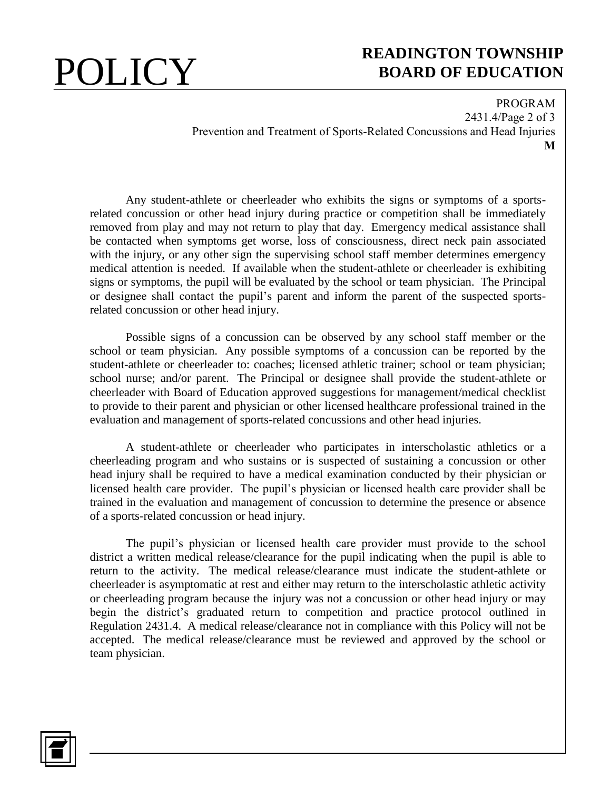# **POLICY** READINGTON TOWNSHIP **BOARD OF EDUCATION**

PROGRAM 2431.4/Page 2 of 3 Prevention and Treatment of Sports-Related Concussions and Head Injuries **M**

Any student-athlete or cheerleader who exhibits the signs or symptoms of a sportsrelated concussion or other head injury during practice or competition shall be immediately removed from play and may not return to play that day. Emergency medical assistance shall be contacted when symptoms get worse, loss of consciousness, direct neck pain associated with the injury, or any other sign the supervising school staff member determines emergency medical attention is needed. If available when the student-athlete or cheerleader is exhibiting signs or symptoms, the pupil will be evaluated by the school or team physician. The Principal or designee shall contact the pupil's parent and inform the parent of the suspected sportsrelated concussion or other head injury.

Possible signs of a concussion can be observed by any school staff member or the school or team physician. Any possible symptoms of a concussion can be reported by the student-athlete or cheerleader to: coaches; licensed athletic trainer; school or team physician; school nurse; and/or parent. The Principal or designee shall provide the student-athlete or cheerleader with Board of Education approved suggestions for management/medical checklist to provide to their parent and physician or other licensed healthcare professional trained in the evaluation and management of sports-related concussions and other head injuries.

A student-athlete or cheerleader who participates in interscholastic athletics or a cheerleading program and who sustains or is suspected of sustaining a concussion or other head injury shall be required to have a medical examination conducted by their physician or licensed health care provider. The pupil's physician or licensed health care provider shall be trained in the evaluation and management of concussion to determine the presence or absence of a sports-related concussion or head injury.

The pupil's physician or licensed health care provider must provide to the school district a written medical release/clearance for the pupil indicating when the pupil is able to return to the activity. The medical release/clearance must indicate the student-athlete or cheerleader is asymptomatic at rest and either may return to the interscholastic athletic activity or cheerleading program because the injury was not a concussion or other head injury or may begin the district's graduated return to competition and practice protocol outlined in Regulation 2431.4. A medical release/clearance not in compliance with this Policy will not be accepted. The medical release/clearance must be reviewed and approved by the school or team physician.